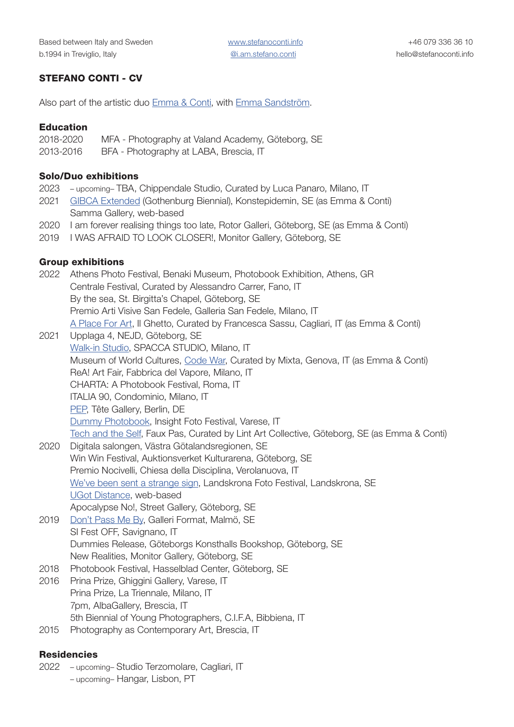## STEFANO CONTI - CV

Also part of the artistic duo [Emma & Conti,](https://www.instagram.com/emma.and.conti/) with [Emma Sandström.](https://www.emmasandstrom.com/)

#### Education

| 2018-2020 | MFA - Photography at Valand Academy, Göteborg, SE |  |
|-----------|---------------------------------------------------|--|
| aasa aasa |                                                   |  |

2013-2016 BFA - Photography at LABA, Brescia, IT

#### Solo/Duo exhibitions

- 2023 upcoming– TBA, Chippendale Studio, Curated by Luca Panaro, Milano, IT
- 2021 [GIBCA Extended](https://konstepidemin.se/kalender/the-breath-grows-weaker-by-the-day/) (Gothenburg Biennial), Konstepidemin, SE (as Emma & Conti) Samma Gallery, web-based
- 2020 I am forever realising things too late, Rotor Galleri, Göteborg, SE (as Emma & Conti)
- 2019 I WAS AFRAID TO LOOK CLOSER!, Monitor Gallery, Göteborg, SE

### Group exhibitions

2022 Athens Photo Festival, Benaki Museum, Photobook Exhibition, Athens, GR Centrale Festival, Curated by Alessandro Carrer, Fano, IT By the sea, St. Birgitta's Chapel, Göteborg, SE Premio Arti Visive San Fedele, Galleria San Fedele, Milano, IT [A Place For Art,](https://consorziocamu.it/a-place-for-art-meets-nocefresca/) Il Ghetto, Curated by Francesca Sassu, Cagliari, IT (as Emma & Conti) 2021 Upplaga 4, NEJD, Göteborg, SE [Walk-in Studio](https://walkinstudio.it/studio/13829/spacca-studio/), SPACCA STUDIO, Milano, IT Museum of World Cultures, [Code War,](https://www.museidigenova.it/it/code-war-project-2021) Curated by Mixta, Genova, IT (as Emma & Conti) ReA! Art Fair, Fabbrica del Vapore, Milano, IT CHARTA: A Photobook Festival, Roma, IT ITALIA 90, Condominio, Milano, IT [PEP](https://www.pep.photography/obsessions), Tête Gallery, Berlin, DE [Dummy Photobook](https://www.insightfotofest.it/portfolio-item//chippendale-studio/), Insight Foto Festival, Varese, IT [Tech and the Self](https://www.lintartcollective.com/work/techandtheself), Faux Pas, Curated by Lint Art Collective, Göteborg, SE (as Emma & Conti) 2020 Digitala salongen, Västra Götalandsregionen, SE Win Win Festival, Auktionsverket Kulturarena, Göteborg, SE Premio Nocivelli, Chiesa della Disciplina, Verolanuova, IT [We've been sent a strange sign,](https://www.landskronafoto.org/landskrona-foto-friends-2/) Landskrona Foto Festival, Landskrona, SE [UGot Distance,](https://ugotphotography.se/he-found-an-old-blue-ocean/) web-based Apocalypse No!, Street Gallery, Göteborg, SE 2019 [Don't Pass Me By,](http://galleriformat.nu/en/2019/kommande-dont-pass/) Galleri Format, Malmö, SE SI Fest OFF, Savignano, IT Dummies Release, Göteborgs Konsthalls Bookshop, Göteborg, SE New Realities, Monitor Gallery, Göteborg, SE 2018 Photobook Festival, Hasselblad Center, Göteborg, SE 2016 Prina Prize, Ghiggini Gallery, Varese, IT Prina Prize, La Triennale, Milano, IT 7pm, AlbaGallery, Brescia, IT 5th Biennial of Young Photographers, C.I.F.A, Bibbiena, IT 2015 Photography as Contemporary Art, Brescia, IT

### **Residencies**

- 2022 upcoming– Studio Terzomolare, Cagliari, IT
	- upcoming– Hangar, Lisbon, PT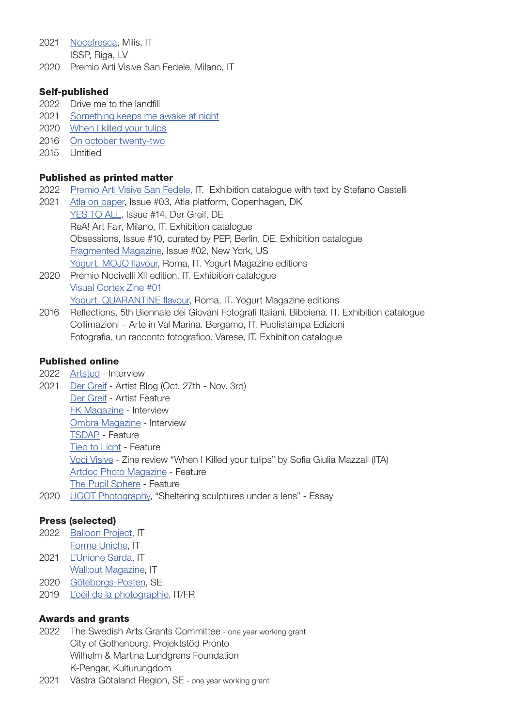2021 [Nocefresca,](https://www.nocefresca.it/?/news&idn=27&lang=eng) Milis, IT

ISSP, Riga, LV

2020 Premio Arti Visive San Fedele, Milano, IT

## Self-published

- 2022 Drive me to the landfill
- 2021 [Something keeps me awake at night](https://www.stefanoconti.info/portfolio-item/something-keeps-me-awake-at-night/)
- 2020 [When I killed your tulips](https://www.stefanoconti.info/portfolio-item/when-i-killed-your-tulips-zine/)
- 2016 [On october twenty-two](https://www.stefanoconti.info/portfolio-item/on-october-twenty-two-nineteen-o-eight-he-was-sixtyfour-years-old-and-was-riding-horses-while-standing-on-the-two-wheeled-chariot/)
- 2015 Untitled

## Published as printed matter

- 2022 [Premio Arti Visive San Fedele](https://www.stefanoconti.info/wp-content/uploads/2022/02/Catologo_StefanoCastelli.pdf), IT. Exhibition catalogue with text by Stefano Castelli
- 2021 [Atla on paper,](https://www.atlaplatform.com/product/forbindelser/) Issue #03, Atla platform, Copenhagen, DK [YES TO ALL](https://shop.dergreif-online.de/collections/guest-edited/products/der-greif-14), Issue #14, Der Greif, DE ReA! Art Fair, Milano, IT. Exhibition catalogue Obsessions, Issue #10, curated by PEP, Berlin, DE. Exhibition catalogue [Fragmented Magazine,](https://fragmentedmagazine.com/magazine/) Issue #02, New York, US [Yogurt. MOJO flavour](https://yogurtmagazine.com/portfolio/yogurt-mojo-flavour/), Roma, IT. Yogurt Magazine editions
- 2020 Premio Nocivelli XII edition, IT. Exhibition catalogue [Visual Cortex Zine #01](http://www.vcxzine.com) [Yogurt. QUARANTINE flavour](https://yogurtmagazine.com/portfolio/yogurt-quarantine-flavour/), Roma, IT. Yogurt Magazine editions
- 2016 Reflections, 5th Biennale dei Giovani Fotografi Italiani. Bibbiena. IT. Exhibition catalogue Collimazioni – Arte in Val Marina. Bergamo, IT. Publistampa Edizioni Fotografia, un racconto fotografico. Varese, IT. Exhibition catalogue

# Published online

- 2022 [Artsted](https://blog.artsted.com/post/in-the-studio-with-stefano-conti)  Interview
- 2021 [Der Greif](https://dergreif-online.de/artist-blog/started-killed-tulips/)  Artist Blog (Oct. 27th Nov. 3rd) [Der Greif](https://dergreif-online.de/artist-feature/stefano-conti/) - Artist Feature [FK Magazine](https://fkmagazine.lv/2021/08/09/10-minutes-with-stefano-conti/) - Interview [Ombra Magazine](https://ombramagazine.com/stefano-conti-when-i-killed-your-tulips/) - Interview [TSDAP](https://tsdap.com/photography/stefano-conti) - Feature [Tied to Light](https://tiedtolight.com/Features) - Feature [Voci Visive](https://www.instagram.com/p/CMM7b42qewO/) - Zine review "When I Killed your tulips" by Sofia Giulia Mazzali (ITA) [Artdoc Photo Magazine](https://www.artdoc.photo/articles/when-i-killed-your-tulips) - Feature [The Pupil Sphere](https://www.pupilsphere.co.uk/home/stefano-conti-when-i-killed-your-tulips-9c24z-s5eda-ylbam-49ckg-9ykls-gmh5m-gfdwg-b6eae-cd3hh-5yazg) - Feature 2020 [UGOT Photography,](http://ugotphotography.se/Sheltering-sculptures-under-a-lens/) "Sheltering sculptures under a lens" - Essay

# Press (selected)

- 2022 [Balloon Project,](https://www.balloonproject.it/san_fedele/?fbclid=IwAR0Jes1_y6gtFucoz0G_bJ1lAG8LUWwYzhcVUHqZ7ui7tTvYRipBncZ67L4) IT [Forme Uniche,](http://formeuniche.org/il-laboratorio-dimensionale-wis-2021/) IT
- 2021 [L'Unione Sarda,](https://www.stefanoconti.info/wp-content/uploads/2022/02/UnioneSarda_2021_12_18.jpeg) IT
- [Wall:out Magazine](https://wallinapp.com/walloutmagazine/di-voci-suoni-cinguettii-it-takes-a-thousand-voices-to-tell-a-single-story/), IT
- 2020 [Göteborgs-Posten](https://www.gp.se/kultur/kultur/recension-u-got-distance-master-of-photography-och-bachelor-of-photography-akademin-valand-2020-1.28270622), SE
- 2019 [L'oeil de la photographie](https://loeildelaphotographie.com/en/si-fest-off-stefano-conti-i-am-afraid-to-look-closer-bb/), IT/FR

### Awards and grants

- 2022 The Swedish Arts Grants Committee one year working grant City of Gothenburg, Projektstöd Pronto Wilhelm & Martina Lundgrens Foundation K-Pengar, Kulturungdom
- 2021 Västra Götaland Region, SE one year working grant